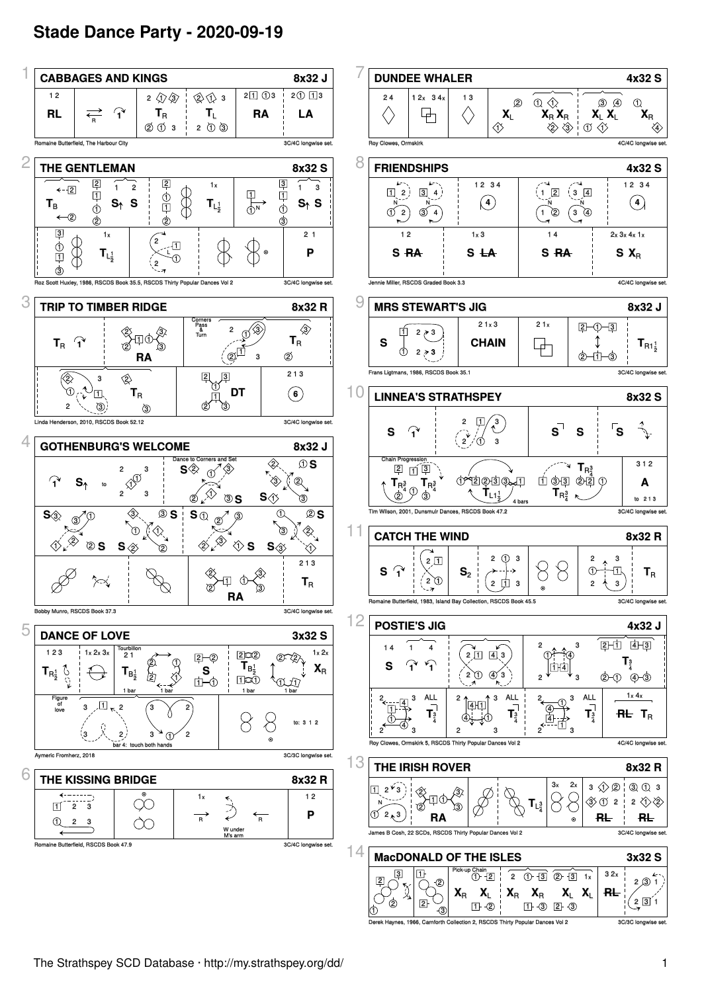

on 2, RSCDS Thirty Popular Dances Vol 2